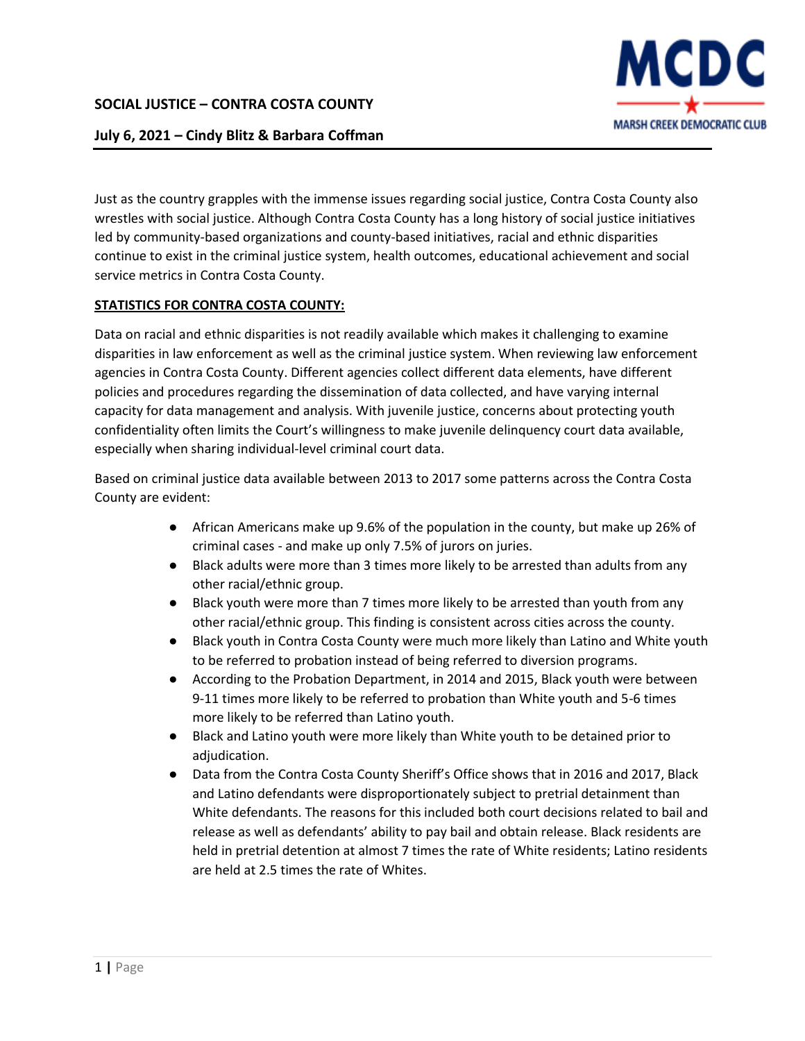

## **July 6, 2021 – Cindy Blitz & Barbara Coffman**

Just as the country grapples with the immense issues regarding social justice, Contra Costa County also wrestles with social justice. Although Contra Costa County has a long history of social justice initiatives led by community-based organizations and county-based initiatives, racial and ethnic disparities continue to exist in the criminal justice system, health outcomes, educational achievement and social service metrics in Contra Costa County.

### **STATISTICS FOR CONTRA COSTA COUNTY:**

Data on racial and ethnic disparities is not readily available which makes it challenging to examine disparities in law enforcement as well as the criminal justice system. When reviewing law enforcement agencies in Contra Costa County. Different agencies collect different data elements, have different policies and procedures regarding the dissemination of data collected, and have varying internal capacity for data management and analysis. With juvenile justice, concerns about protecting youth confidentiality often limits the Court's willingness to make juvenile delinquency court data available, especially when sharing individual-level criminal court data.

Based on criminal justice data available between 2013 to 2017 some patterns across the Contra Costa County are evident:

- African Americans make up 9.6% of the population in the county, but make up 26% of criminal cases - and make up only 7.5% of jurors on juries.
- Black adults were more than 3 times more likely to be arrested than adults from any other racial/ethnic group.
- Black youth were more than 7 times more likely to be arrested than youth from any other racial/ethnic group. This finding is consistent across cities across the county.
- Black youth in Contra Costa County were much more likely than Latino and White youth to be referred to probation instead of being referred to diversion programs.
- According to the Probation Department, in 2014 and 2015, Black youth were between 9-11 times more likely to be referred to probation than White youth and 5-6 times more likely to be referred than Latino youth.
- Black and Latino youth were more likely than White youth to be detained prior to adjudication.
- Data from the Contra Costa County Sheriff's Office shows that in 2016 and 2017, Black and Latino defendants were disproportionately subject to pretrial detainment than White defendants. The reasons for this included both court decisions related to bail and release as well as defendants' ability to pay bail and obtain release. Black residents are held in pretrial detention at almost 7 times the rate of White residents; Latino residents are held at 2.5 times the rate of Whites.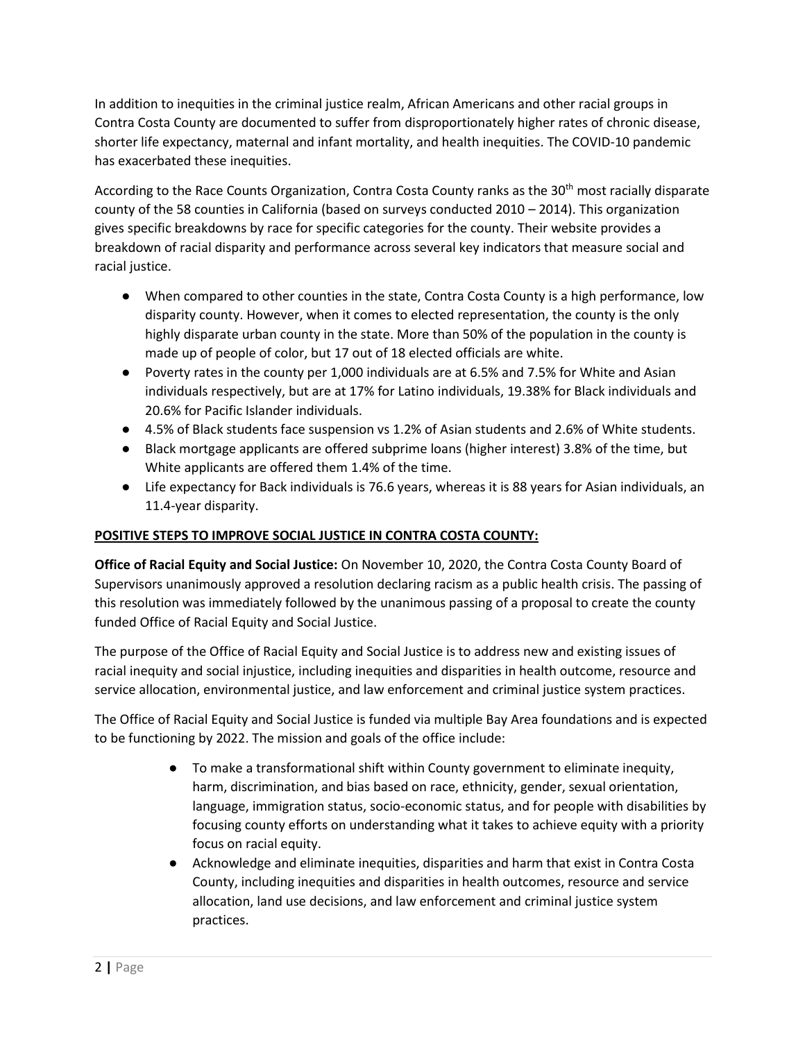In addition to inequities in the criminal justice realm, African Americans and other racial groups in Contra Costa County are documented to suffer from disproportionately higher rates of chronic disease, shorter life expectancy, maternal and infant mortality, and health inequities. The COVID-10 pandemic has exacerbated these inequities.

According to the Race Counts Organization, Contra Costa County ranks as the 30<sup>th</sup> most racially disparate county of the 58 counties in California (based on surveys conducted 2010 – 2014). This organization gives specific breakdowns by race for specific categories for the county. Their website provides a breakdown of racial disparity and performance across several key indicators that measure social and racial justice.

- When compared to other counties in the state, Contra Costa County is a high performance, low disparity county. However, when it comes to elected representation, the county is the only highly disparate urban county in the state. More than 50% of the population in the county is made up of people of color, but 17 out of 18 elected officials are white.
- Poverty rates in the county per 1,000 individuals are at 6.5% and 7.5% for White and Asian individuals respectively, but are at 17% for Latino individuals, 19.38% for Black individuals and 20.6% for Pacific Islander individuals.
- 4.5% of Black students face suspension vs 1.2% of Asian students and 2.6% of White students.
- Black mortgage applicants are offered subprime loans (higher interest) 3.8% of the time, but White applicants are offered them 1.4% of the time.
- Life expectancy for Back individuals is 76.6 years, whereas it is 88 years for Asian individuals, an 11.4-year disparity.

## **POSITIVE STEPS TO IMPROVE SOCIAL JUSTICE IN CONTRA COSTA COUNTY:**

**Office of Racial Equity and Social Justice:** On November 10, 2020, the Contra Costa County Board of Supervisors unanimously approved a resolution declaring racism as a public health crisis. The passing of this resolution was immediately followed by the unanimous passing of a proposal to create the county funded Office of Racial Equity and Social Justice.

The purpose of the Office of Racial Equity and Social Justice is to address new and existing issues of racial inequity and social injustice, including inequities and disparities in health outcome, resource and service allocation, environmental justice, and law enforcement and criminal justice system practices.

The Office of Racial Equity and Social Justice is funded via multiple Bay Area foundations and is expected to be functioning by 2022. The mission and goals of the office include:

- To make a transformational shift within County government to eliminate inequity, harm, discrimination, and bias based on race, ethnicity, gender, sexual orientation, language, immigration status, socio-economic status, and for people with disabilities by focusing county efforts on understanding what it takes to achieve equity with a priority focus on racial equity.
- Acknowledge and eliminate inequities, disparities and harm that exist in Contra Costa County, including inequities and disparities in health outcomes, resource and service allocation, land use decisions, and law enforcement and criminal justice system practices.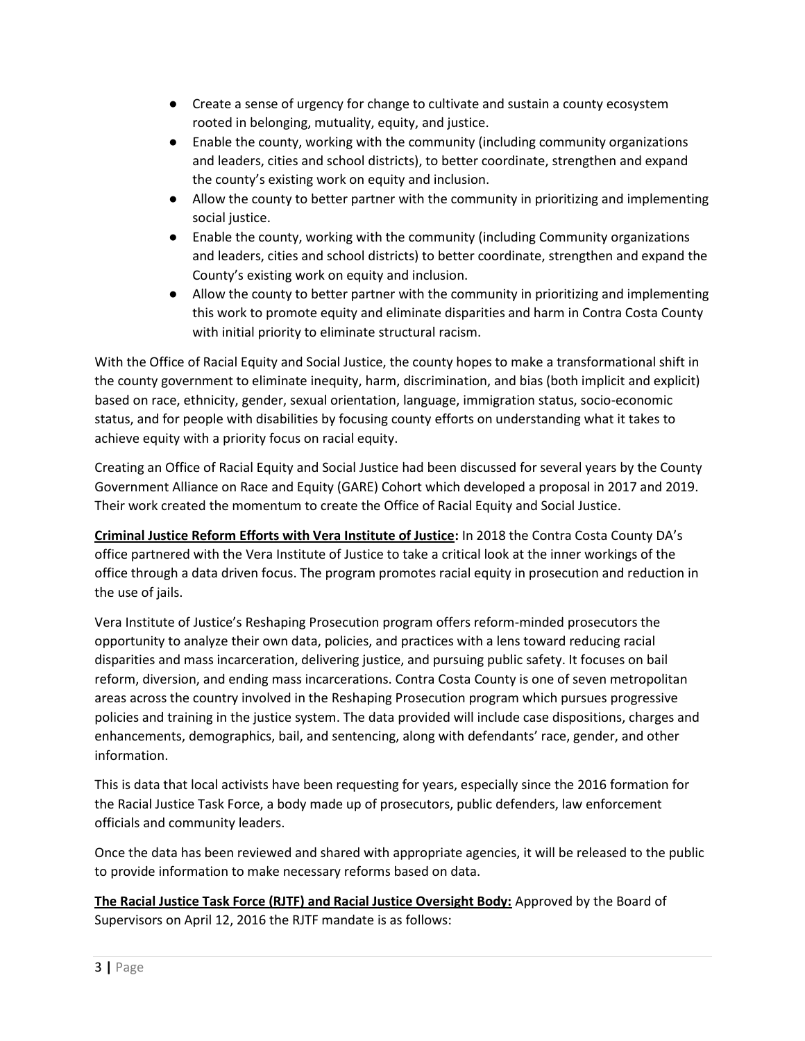- Create a sense of urgency for change to cultivate and sustain a county ecosystem rooted in belonging, mutuality, equity, and justice.
- Enable the county, working with the community (including community organizations and leaders, cities and school districts), to better coordinate, strengthen and expand the county's existing work on equity and inclusion.
- Allow the county to better partner with the community in prioritizing and implementing social justice.
- Enable the county, working with the community (including Community organizations and leaders, cities and school districts) to better coordinate, strengthen and expand the County's existing work on equity and inclusion.
- Allow the county to better partner with the community in prioritizing and implementing this work to promote equity and eliminate disparities and harm in Contra Costa County with initial priority to eliminate structural racism.

With the Office of Racial Equity and Social Justice, the county hopes to make a transformational shift in the county government to eliminate inequity, harm, discrimination, and bias (both implicit and explicit) based on race, ethnicity, gender, sexual orientation, language, immigration status, socio-economic status, and for people with disabilities by focusing county efforts on understanding what it takes to achieve equity with a priority focus on racial equity.

Creating an Office of Racial Equity and Social Justice had been discussed for several years by the County Government Alliance on Race and Equity (GARE) Cohort which developed a proposal in 2017 and 2019. Their work created the momentum to create the Office of Racial Equity and Social Justice.

**Criminal Justice Reform Efforts with Vera Institute of Justice:** In 2018 the Contra Costa County DA's office partnered with the Vera Institute of Justice to take a critical look at the inner workings of the office through a data driven focus. The program promotes racial equity in prosecution and reduction in the use of jails.

Vera Institute of Justice's Reshaping Prosecution program offers reform-minded prosecutors the opportunity to analyze their own data, policies, and practices with a lens toward reducing racial disparities and mass incarceration, delivering justice, and pursuing public safety. It focuses on bail reform, diversion, and ending mass incarcerations. Contra Costa County is one of seven metropolitan areas across the country involved in the Reshaping Prosecution program which pursues progressive policies and training in the justice system. The data provided will include case dispositions, charges and enhancements, demographics, bail, and sentencing, along with defendants' race, gender, and other information.

This is data that local activists have been requesting for years, especially since the 2016 formation for the Racial Justice Task Force, a body made up of prosecutors, public defenders, law enforcement officials and community leaders.

Once the data has been reviewed and shared with appropriate agencies, it will be released to the public to provide information to make necessary reforms based on data.

**The Racial Justice Task Force (RJTF) and Racial Justice Oversight Body:** Approved by the Board of Supervisors on April 12, 2016 the RJTF mandate is as follows: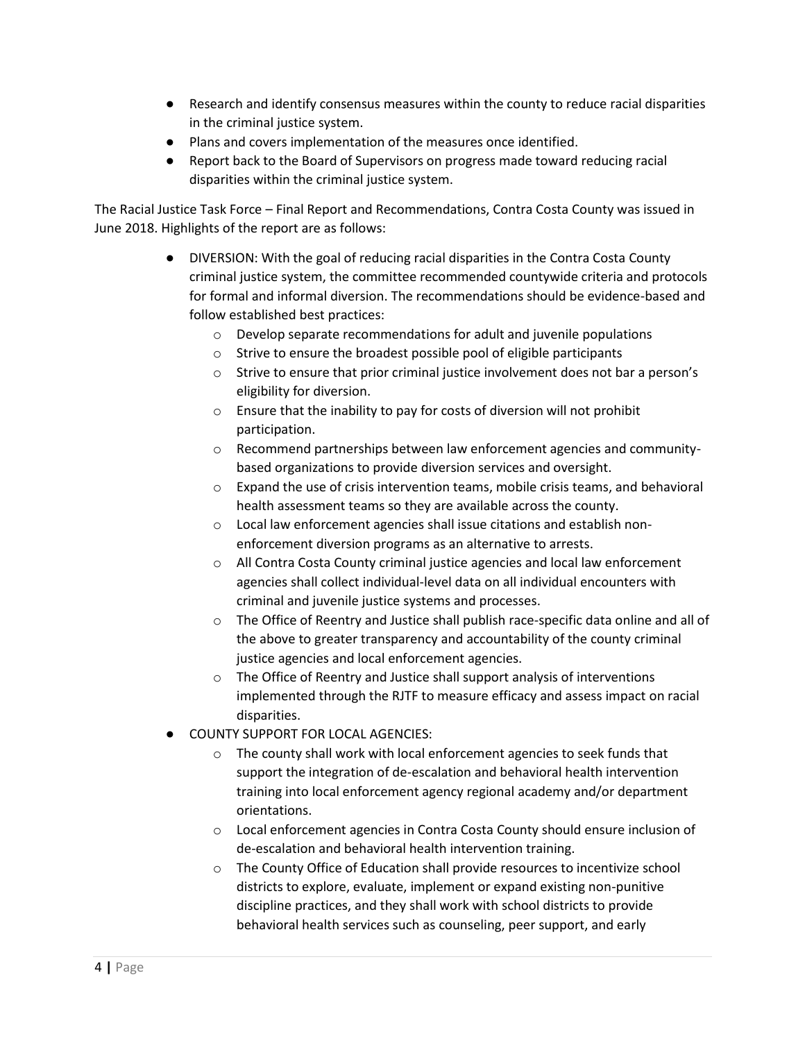- Research and identify consensus measures within the county to reduce racial disparities in the criminal justice system.
- Plans and covers implementation of the measures once identified.
- Report back to the Board of Supervisors on progress made toward reducing racial disparities within the criminal justice system.

The Racial Justice Task Force – Final Report and Recommendations, Contra Costa County was issued in June 2018. Highlights of the report are as follows:

- DIVERSION: With the goal of reducing racial disparities in the Contra Costa County criminal justice system, the committee recommended countywide criteria and protocols for formal and informal diversion. The recommendations should be evidence-based and follow established best practices:
	- o Develop separate recommendations for adult and juvenile populations
	- o Strive to ensure the broadest possible pool of eligible participants
	- o Strive to ensure that prior criminal justice involvement does not bar a person's eligibility for diversion.
	- o Ensure that the inability to pay for costs of diversion will not prohibit participation.
	- o Recommend partnerships between law enforcement agencies and communitybased organizations to provide diversion services and oversight.
	- $\circ$  Expand the use of crisis intervention teams, mobile crisis teams, and behavioral health assessment teams so they are available across the county.
	- o Local law enforcement agencies shall issue citations and establish nonenforcement diversion programs as an alternative to arrests.
	- o All Contra Costa County criminal justice agencies and local law enforcement agencies shall collect individual-level data on all individual encounters with criminal and juvenile justice systems and processes.
	- o The Office of Reentry and Justice shall publish race-specific data online and all of the above to greater transparency and accountability of the county criminal justice agencies and local enforcement agencies.
	- o The Office of Reentry and Justice shall support analysis of interventions implemented through the RJTF to measure efficacy and assess impact on racial disparities.
- COUNTY SUPPORT FOR LOCAL AGENCIES:
	- o The county shall work with local enforcement agencies to seek funds that support the integration of de-escalation and behavioral health intervention training into local enforcement agency regional academy and/or department orientations.
	- o Local enforcement agencies in Contra Costa County should ensure inclusion of de-escalation and behavioral health intervention training.
	- o The County Office of Education shall provide resources to incentivize school districts to explore, evaluate, implement or expand existing non-punitive discipline practices, and they shall work with school districts to provide behavioral health services such as counseling, peer support, and early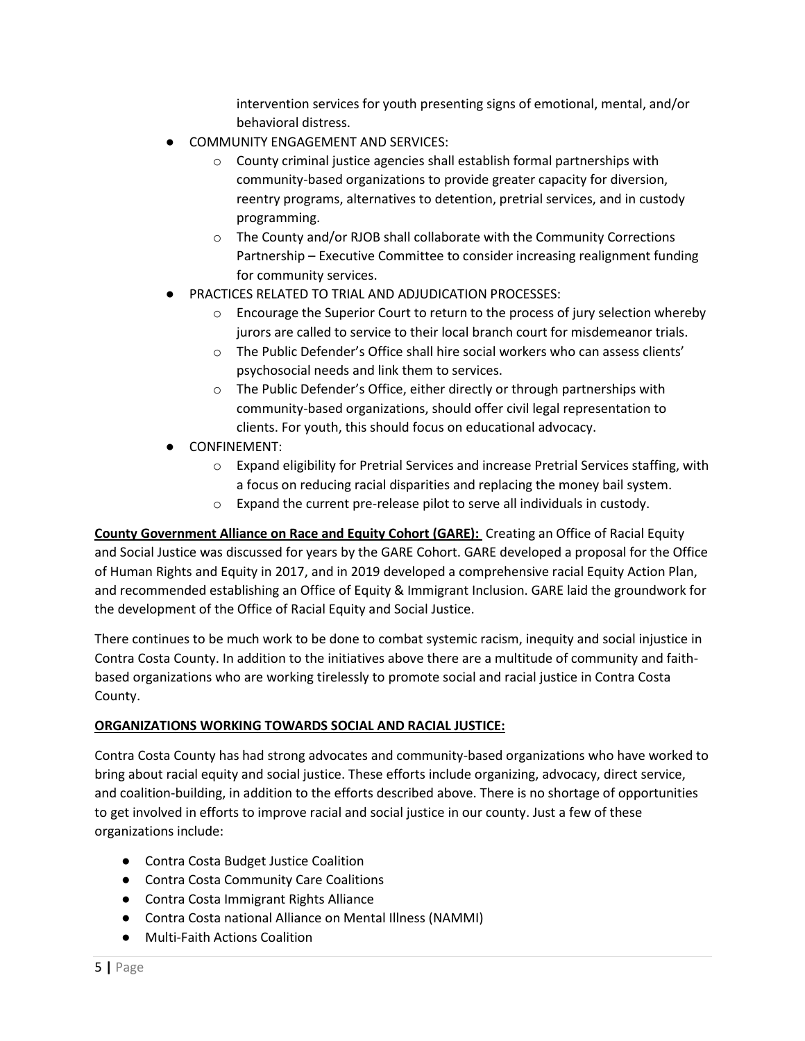intervention services for youth presenting signs of emotional, mental, and/or behavioral distress.

- COMMUNITY ENGAGEMENT AND SERVICES:
	- o County criminal justice agencies shall establish formal partnerships with community-based organizations to provide greater capacity for diversion, reentry programs, alternatives to detention, pretrial services, and in custody programming.
	- o The County and/or RJOB shall collaborate with the Community Corrections Partnership – Executive Committee to consider increasing realignment funding for community services.
- PRACTICES RELATED TO TRIAL AND ADJUDICATION PROCESSES:
	- o Encourage the Superior Court to return to the process of jury selection whereby jurors are called to service to their local branch court for misdemeanor trials.
	- o The Public Defender's Office shall hire social workers who can assess clients' psychosocial needs and link them to services.
	- o The Public Defender's Office, either directly or through partnerships with community-based organizations, should offer civil legal representation to clients. For youth, this should focus on educational advocacy.
- CONFINEMENT:
	- o Expand eligibility for Pretrial Services and increase Pretrial Services staffing, with a focus on reducing racial disparities and replacing the money bail system.
	- o Expand the current pre-release pilot to serve all individuals in custody.

**County Government Alliance on Race and Equity Cohort (GARE):** Creating an Office of Racial Equity and Social Justice was discussed for years by the GARE Cohort. GARE developed a proposal for the Office of Human Rights and Equity in 2017, and in 2019 developed a comprehensive racial Equity Action Plan, and recommended establishing an Office of Equity & Immigrant Inclusion. GARE laid the groundwork for the development of the Office of Racial Equity and Social Justice.

There continues to be much work to be done to combat systemic racism, inequity and social injustice in Contra Costa County. In addition to the initiatives above there are a multitude of community and faithbased organizations who are working tirelessly to promote social and racial justice in Contra Costa County.

# **ORGANIZATIONS WORKING TOWARDS SOCIAL AND RACIAL JUSTICE:**

Contra Costa County has had strong advocates and community-based organizations who have worked to bring about racial equity and social justice. These efforts include organizing, advocacy, direct service, and coalition-building, in addition to the efforts described above. There is no shortage of opportunities to get involved in efforts to improve racial and social justice in our county. Just a few of these organizations include:

- Contra Costa Budget Justice Coalition
- Contra Costa Community Care Coalitions
- Contra Costa Immigrant Rights Alliance
- Contra Costa national Alliance on Mental Illness (NAMMI)
- Multi-Faith Actions Coalition